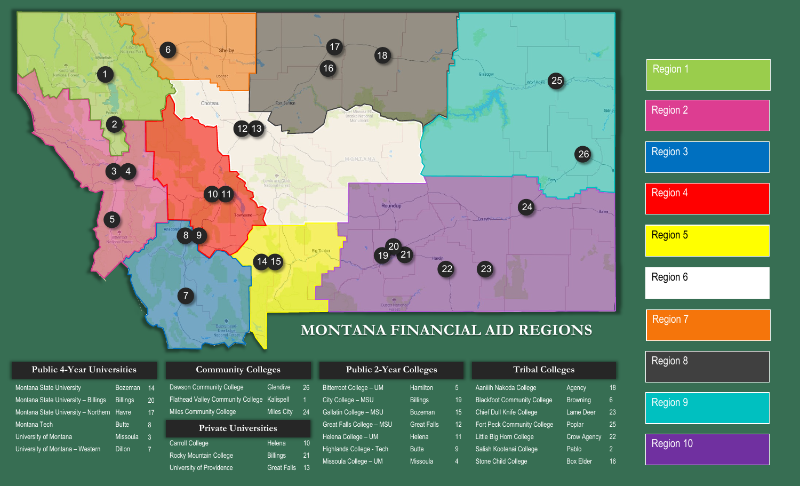

# **MONTANA FINANCIAL AID REGIONS**

| 'Public 4-Year Universitie |  |
|----------------------------|--|
|----------------------------|--|

| Montana State University            | <b>Bozeman</b>  |
|-------------------------------------|-----------------|
| Montana State University - Billings | <b>Billings</b> |
| Montana State University - Northern | Havre           |
| Montana Tech                        | <b>Butte</b>    |
| University of Montana               | <b>Missoula</b> |
| University of Montana - Western     | Dillon          |

|                | <b>Community Colleges</b>                                                                              |                                                 |
|----------------|--------------------------------------------------------------------------------------------------------|-------------------------------------------------|
| 14<br>20<br>17 | Dawson Community College<br><b>Flathead Valley Community College</b><br><b>Miles Community College</b> | Glendive<br>Kalispell<br><b>Miles City</b>      |
| 8<br>3         | <b>Private Universities</b>                                                                            |                                                 |
| 7              | <b>Carroll College</b><br><b>Rocky Mountain College</b><br>University of Providence                    | Helena<br><b>Billings</b><br><b>Great Falls</b> |

| <b>Public 4-Year Universities</b>    |                 |    | <b>Community Colleges</b>                          |                                   | <b>Public 2-Year Colleges</b> |                           | <b>Tribal Colleges</b> |     |                             |            |
|--------------------------------------|-----------------|----|----------------------------------------------------|-----------------------------------|-------------------------------|---------------------------|------------------------|-----|-----------------------------|------------|
| na State University                  | Bozeman         | 14 | Dawson Community College                           | Glendive                          | 26                            | Bitterroot College - UM   | Hamilton               | 5.  | Aaniiih Nakoda College      | Ag         |
| na State University – Billings       | <b>Billings</b> | 20 | <b>Flathead Valley Community College</b>           | Kalispell                         |                               | City College - MSU        | <b>Billings</b>        | 19  | Blackfoot Community College | <b>Bro</b> |
| na State University - Northern Havre |                 | 17 | <b>Miles Community College</b>                     | Miles City                        | 24                            | Gallatin College - MSU    | <b>Bozeman</b>         | 15  | Chief Dull Knife College    | Lar        |
| na Tech                              | <b>Butte</b>    | 8  | <b>Private Universities</b>                        |                                   |                               | Great Falls College - MSU | <b>Great Falls</b>     | 12  | Fort Peck Community College | Po         |
| sity of Montana                      | Missoula        | 3  |                                                    |                                   | 10 <sup>°</sup>               | Helena College - UM       | Helena                 | 11. | Little Big Horn College     | Cro        |
| sity of Montana - Western            | <b>Dillon</b>   |    | <b>Carroll College</b>                             | Helena                            |                               | Highlands College - Tech  | <b>Butte</b>           | 9   | Salish Kootenai College     | Pa         |
|                                      |                 |    | Rocky Mountain College<br>University of Providence | <b>Billings</b><br>Great Falls 13 | 21                            | Missoula College - UM     | Missoula               | 4   | Stone Child College         | Bo         |

| <b>Tribal Colleges</b>             |                    |                |  |  |
|------------------------------------|--------------------|----------------|--|--|
| Aaniiih Nakoda College             | Agency             | 18             |  |  |
| <b>Blackfoot Community College</b> | <b>Browning</b>    | 6.             |  |  |
| Chief Dull Knife College           | <b>Lame Deer</b>   | 23             |  |  |
| Fort Peck Community College        | Poplar             | 25             |  |  |
| Little Big Horn College            | <b>Crow Agency</b> | 22             |  |  |
| Salish Kootenai College            | Pablo              | $\mathfrak{p}$ |  |  |
| Stone Child College                | <b>Box Elder</b>   | 16             |  |  |
|                                    |                    |                |  |  |

| <b>Region 1</b> |
|-----------------|
| <b>Region 2</b> |
| <b>Region 3</b> |
| <b>Region 4</b> |
| Region 5        |
| Region 6        |
| <b>Region 7</b> |
| Region 8        |
| <b>Region 9</b> |

Region 10